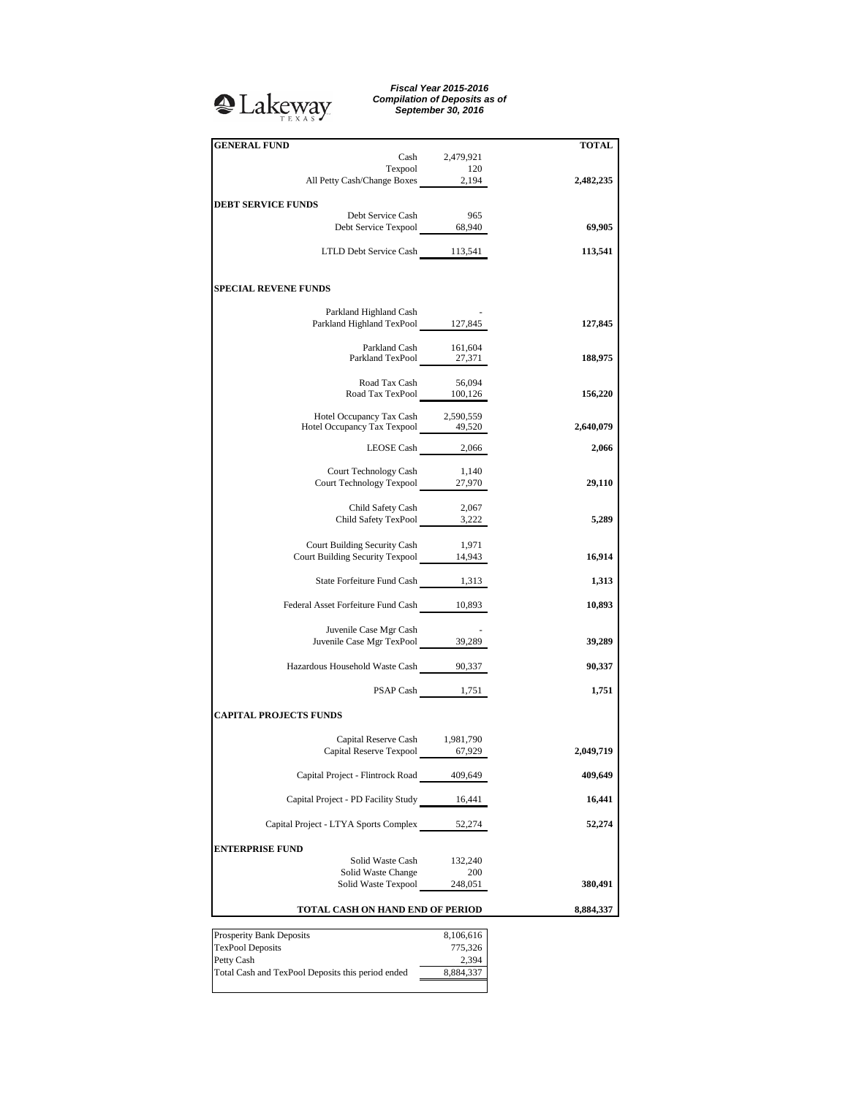## <sup>2</sup>Lakeway

*Fiscal Year 2015-2016 Compilation of Deposits as of September 30, 2016*

| <b>GENERAL FUND</b>                                                           | Cash 2,479,921        | <b>TOTAL</b> |
|-------------------------------------------------------------------------------|-----------------------|--------------|
|                                                                               | Texpool 120           |              |
| All Petty Cash/Change Boxes 2,194                                             |                       | 2,482,235    |
|                                                                               |                       |              |
| <b>DEBT SERVICE FUNDS</b>                                                     |                       |              |
| Debt Service Cash                                                             | 965                   |              |
| Debt Service Texpool 68,940                                                   |                       | 69,905       |
|                                                                               |                       |              |
| LTLD Debt Service Cash 113,541                                                |                       | 113,541      |
|                                                                               |                       |              |
|                                                                               |                       |              |
| <b>SPECIAL REVENE FUNDS</b>                                                   |                       |              |
|                                                                               |                       |              |
| Parkland Highland Cash<br>Parkland Highland TexPool 127,845                   |                       |              |
|                                                                               |                       | 127,845      |
|                                                                               | Parkland Cash 161,604 |              |
| Parkland TexPool 27,371                                                       |                       | 188,975      |
|                                                                               |                       |              |
| Road Tax Cash 56,094<br>Road Tax TexPool 100,126                              |                       |              |
|                                                                               |                       | 156,220      |
|                                                                               |                       |              |
| Hotel Occupancy Tax Cash 2,590,559<br>Hotel Occupancy Tax Texpool 49,520      |                       | 2,640,079    |
|                                                                               |                       |              |
|                                                                               | LEOSE Cash $2,066$    | 2,066        |
|                                                                               |                       |              |
| Court Technology Cash                                                         | 1,140                 |              |
| Court Technology Texpool 27,970                                               |                       | 29,110       |
|                                                                               |                       |              |
| Child Safety Cash<br>Child Safety Cash 2,067<br>Child Safety TexPool 3,222    |                       |              |
|                                                                               |                       | 5,289        |
|                                                                               |                       |              |
| <b>Court Building Security Cash</b><br>Court Building Security Texpool 14,943 | 1,971                 |              |
|                                                                               |                       | 16,914       |
| State Forfeiture Fund Cash 1,313                                              |                       |              |
|                                                                               |                       | 1,313        |
| Federal Asset Forfeiture Fund Cash 10,893                                     |                       | 10,893       |
|                                                                               |                       |              |
| Juvenile Case Mgr Cash                                                        |                       |              |
| Juvenile Case Mgr TexPool 39,289                                              |                       | 39,289       |
|                                                                               |                       |              |
| Hazardous Household Waste Cash 90,337                                         |                       | 90,337       |
|                                                                               |                       |              |
|                                                                               | PSAP Cash 1,751       | 1,751        |
|                                                                               |                       |              |
| <b>CAPITAL PROJECTS FUNDS</b>                                                 |                       |              |
|                                                                               |                       |              |
| Capital Reserve Cash 1,981,790                                                |                       |              |
| Capital Reserve Texpool 67,929                                                |                       | 2,049,719    |
|                                                                               |                       | 409,649      |
| Capital Project - Flintrock Road 409,649                                      |                       |              |
| Capital Project - PD Facility Study 16,441                                    |                       | 16,441       |
|                                                                               |                       |              |
| Capital Project - LTYA Sports Complex                                         | 52,274                | 52,274       |
|                                                                               |                       |              |
| <b>ENTERPRISE FUND</b>                                                        |                       |              |
| Solid Waste Cash                                                              | 132,240               |              |
| Solid Waste Change                                                            | 200                   |              |
| Solid Waste Texpool                                                           | 248,051               | 380,491      |
|                                                                               |                       |              |
| TOTAL CASH ON HAND END OF PERIOD                                              |                       | 8,884,337    |
|                                                                               |                       |              |
| Prosperity Bank Deposits                                                      | 8,106,616             |              |
| <b>TexPool Deposits</b>                                                       | 775,326               |              |
| Petty Cash                                                                    | 2,394                 |              |
| Total Cash and TexPool Deposits this period ended                             | 8,884,337             |              |